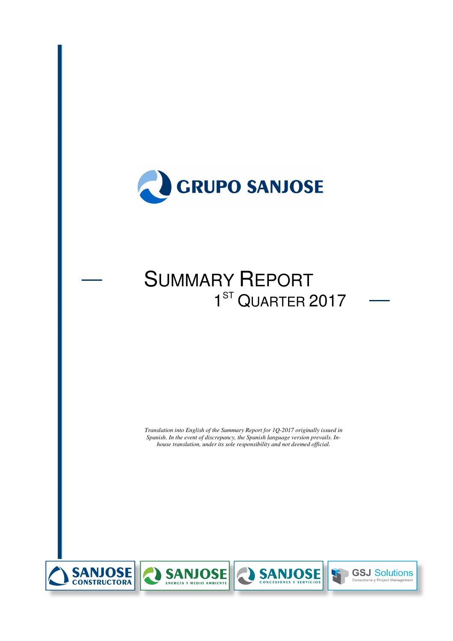

# SUMMARY REPORT  $11.11$   $11.11$ 1<sup>ST</sup> QUARTER 2017

*Translation into English of the Summary Report for 1Q-2017 originally issued in Spanish. In the event of discrepancy, the Spanish language version prevails. Inhouse translation, under its sole responsibility and not deemed official.*







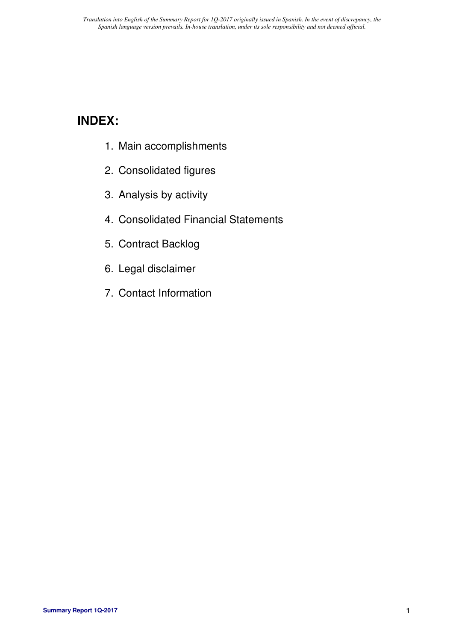# **INDEX:**

- 1. Main accomplishments
- 2. Consolidated figures
- 3. Analysis by activity
- 4. Consolidated Financial Statements
- 5. Contract Backlog
- 6. Legal disclaimer
- 7. Contact Information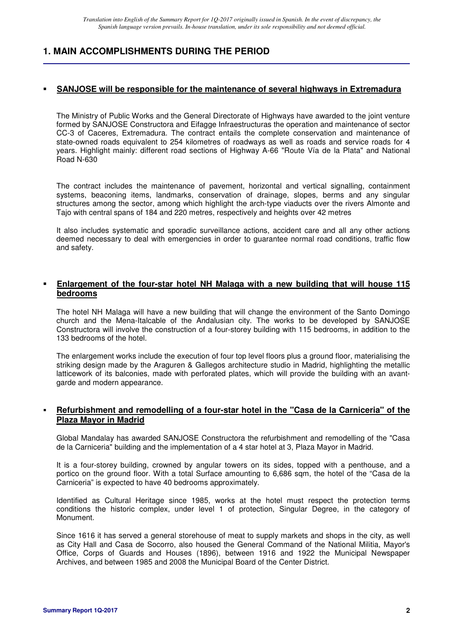## **1. MAIN ACCOMPLISHMENTS DURING THE PERIOD**

### **SANJOSE will be responsible for the maintenance of several highways in Extremadura**

The Ministry of Public Works and the General Directorate of Highways have awarded to the joint venture formed by SANJOSE Constructora and Eifagge Infraestructuras the operation and maintenance of sector CC-3 of Caceres, Extremadura. The contract entails the complete conservation and maintenance of state-owned roads equivalent to 254 kilometres of roadways as well as roads and service roads for 4 years. Highlight mainly: different road sections of Highway A-66 "Route Vía de la Plata" and National Road N-630

The contract includes the maintenance of pavement, horizontal and vertical signalling, containment systems, beaconing items, landmarks, conservation of drainage, slopes, berms and any singular structures among the sector, among which highlight the arch-type viaducts over the rivers Almonte and Tajo with central spans of 184 and 220 metres, respectively and heights over 42 metres

It also includes systematic and sporadic surveillance actions, accident care and all any other actions deemed necessary to deal with emergencies in order to guarantee normal road conditions, traffic flow and safety.

#### **Enlargement of the four-star hotel NH Malaga with a new building that will house 115 bedrooms**

The hotel NH Malaga will have a new building that will change the environment of the Santo Domingo church and the Mena-Italcable of the Andalusian city. The works to be developed by SANJOSE Constructora will involve the construction of a four-storey building with 115 bedrooms, in addition to the 133 bedrooms of the hotel.

The enlargement works include the execution of four top level floors plus a ground floor, materialising the striking design made by the Araguren & Gallegos architecture studio in Madrid, highlighting the metallic latticework of its balconies, made with perforated plates, which will provide the building with an avantgarde and modern appearance.

#### **Refurbishment and remodelling of a four-star hotel in the "Casa de la Carniceria" of the Plaza Mayor in Madrid**

Global Mandalay has awarded SANJOSE Constructora the refurbishment and remodelling of the "Casa de la Carniceria" building and the implementation of a 4 star hotel at 3, Plaza Mayor in Madrid.

It is a four-storey building, crowned by angular towers on its sides, topped with a penthouse, and a portico on the ground floor. With a total Surface amounting to 6,686 sqm, the hotel of the "Casa de la Carniceria" is expected to have 40 bedrooms approximately.

Identified as Cultural Heritage since 1985, works at the hotel must respect the protection terms conditions the historic complex, under level 1 of protection, Singular Degree, in the category of Monument.

Since 1616 it has served a general storehouse of meat to supply markets and shops in the city, as well as City Hall and Casa de Socorro, also housed the General Command of the National Militia, Mayor's Office, Corps of Guards and Houses (1896), between 1916 and 1922 the Municipal Newspaper Archives, and between 1985 and 2008 the Municipal Board of the Center District.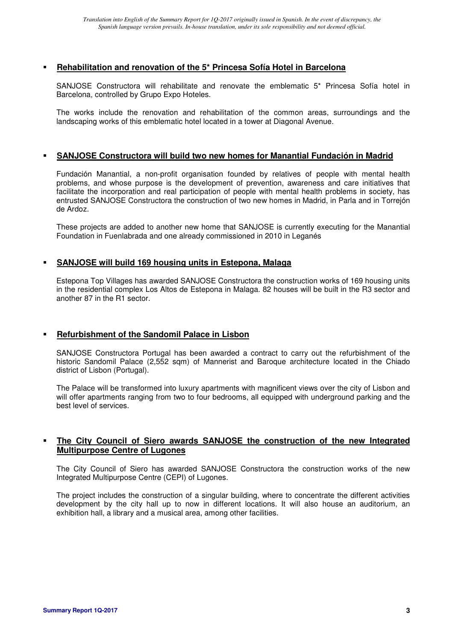#### **Rehabilitation and renovation of the 5\* Princesa Sofía Hotel in Barcelona**

SANJOSE Constructora will rehabilitate and renovate the emblematic 5\* Princesa Sofía hotel in Barcelona, controlled by Grupo Expo Hoteles.

The works include the renovation and rehabilitation of the common areas, surroundings and the landscaping works of this emblematic hotel located in a tower at Diagonal Avenue.

#### **SANJOSE Constructora will build two new homes for Manantial Fundación in Madrid**

Fundación Manantial, a non-profit organisation founded by relatives of people with mental health problems, and whose purpose is the development of prevention, awareness and care initiatives that facilitate the incorporation and real participation of people with mental health problems in society, has entrusted SANJOSE Constructora the construction of two new homes in Madrid, in Parla and in Torrejón de Ardoz.

These projects are added to another new home that SANJOSE is currently executing for the Manantial Foundation in Fuenlabrada and one already commissioned in 2010 in Leganés

#### **SANJOSE will build 169 housing units in Estepona, Malaga**

Estepona Top Villages has awarded SANJOSE Constructora the construction works of 169 housing units in the residential complex Los Altos de Estepona in Malaga. 82 houses will be built in the R3 sector and another 87 in the R1 sector.

### **Refurbishment of the Sandomil Palace in Lisbon**

SANJOSE Constructora Portugal has been awarded a contract to carry out the refurbishment of the historic Sandomil Palace (2,552 sqm) of Mannerist and Baroque architecture located in the Chiado district of Lisbon (Portugal).

The Palace will be transformed into luxury apartments with magnificent views over the city of Lisbon and will offer apartments ranging from two to four bedrooms, all equipped with underground parking and the best level of services.

#### **The City Council of Siero awards SANJOSE the construction of the new Integrated Multipurpose Centre of Lugones**

The City Council of Siero has awarded SANJOSE Constructora the construction works of the new Integrated Multipurpose Centre (CEPI) of Lugones.

The project includes the construction of a singular building, where to concentrate the different activities development by the city hall up to now in different locations. It will also house an auditorium, an exhibition hall, a library and a musical area, among other facilities.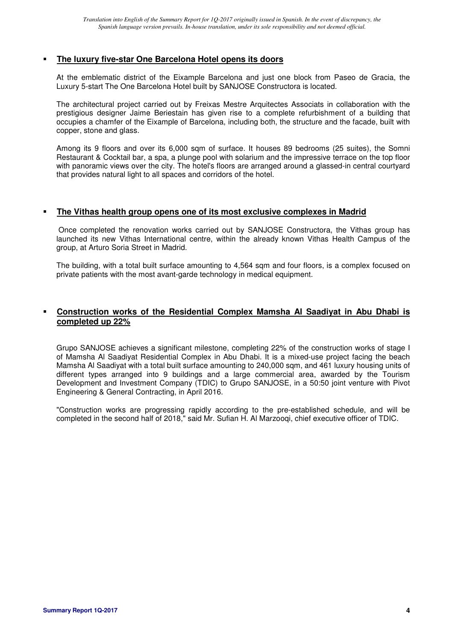#### **The luxury five-star One Barcelona Hotel opens its doors**

At the emblematic district of the Eixample Barcelona and just one block from Paseo de Gracia, the Luxury 5-start The One Barcelona Hotel built by SANJOSE Constructora is located.

The architectural project carried out by Freixas Mestre Arquitectes Associats in collaboration with the prestigious designer Jaime Beriestain has given rise to a complete refurbishment of a building that occupies a chamfer of the Eixample of Barcelona, including both, the structure and the facade, built with copper, stone and glass.

Among its 9 floors and over its 6,000 sqm of surface. It houses 89 bedrooms (25 suites), the Somni Restaurant & Cocktail bar, a spa, a plunge pool with solarium and the impressive terrace on the top floor with panoramic views over the city. The hotel's floors are arranged around a glassed-in central courtyard that provides natural light to all spaces and corridors of the hotel.

#### **The Vithas health group opens one of its most exclusive complexes in Madrid**

Once completed the renovation works carried out by SANJOSE Constructora, the Vithas group has launched its new Vithas International centre, within the already known Vithas Health Campus of the group, at Arturo Soria Street in Madrid.

The building, with a total built surface amounting to 4,564 sqm and four floors, is a complex focused on private patients with the most avant-garde technology in medical equipment.

### **Construction works of the Residential Complex Mamsha Al Saadiyat in Abu Dhabi is completed up 22%**

Grupo SANJOSE achieves a significant milestone, completing 22% of the construction works of stage I of Mamsha Al Saadiyat Residential Complex in Abu Dhabi. It is a mixed-use project facing the beach Mamsha Al Saadiyat with a total built surface amounting to 240,000 sqm, and 461 luxury housing units of different types arranged into 9 buildings and a large commercial area, awarded by the Tourism Development and Investment Company (TDIC) to Grupo SANJOSE, in a 50:50 joint venture with Pivot Engineering & General Contracting, in April 2016.

"Construction works are progressing rapidly according to the pre-established schedule, and will be completed in the second half of 2018," said Mr. Sufian H. Al Marzooqi, chief executive officer of TDIC.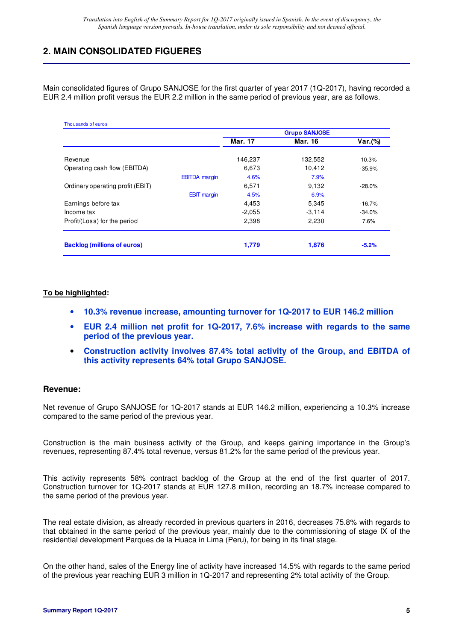## **2. MAIN CONSOLIDATED FIGUERES**

Main consolidated figures of Grupo SANJOSE for the first quarter of year 2017 (1Q-2017), having recorded a EUR 2.4 million profit versus the EUR 2.2 million in the same period of previous year, are as follows.

| Thousands of euros                 |                              | <b>Grupo SANJOSE</b> |           |
|------------------------------------|------------------------------|----------------------|-----------|
|                                    | <b>Mar. 17</b>               | <b>Mar. 16</b>       | Var.(%)   |
| Revenue                            | 146,237                      | 132,552              | 10.3%     |
| Operating cash flow (EBITDA)       | 6,673                        | 10,412               | $-35.9%$  |
|                                    | <b>EBITDA</b> margin<br>4.6% | 7.9%                 |           |
| Ordinary operating profit (EBIT)   | 6,571                        | 9,132                | $-28.0\%$ |
|                                    | <b>EBIT</b> margin<br>4.5%   | 6.9%                 |           |
| Earnings before tax                | 4,453                        | 5,345                | $-16.7%$  |
| Income tax                         | $-2,055$                     | $-3,114$             | $-34.0%$  |
| Profit/(Loss) for the period       | 2,398                        | 2,230                | 7.6%      |
| <b>Backlog (millions of euros)</b> | 1,779                        | 1,876                | $-5.2%$   |

#### **To be highlighted:**

- **10.3% revenue increase, amounting turnover for 1Q-2017 to EUR 146.2 million**
- **EUR 2.4 million net profit for 1Q-2017, 7.6% increase with regards to the same period of the previous year.**
- **Construction activity involves 87.4% total activity of the Group, and EBITDA of this activity represents 64% total Grupo SANJOSE.**

#### **Revenue:**

Net revenue of Grupo SANJOSE for 1Q-2017 stands at EUR 146.2 million, experiencing a 10.3% increase compared to the same period of the previous year.

Construction is the main business activity of the Group, and keeps gaining importance in the Group's revenues, representing 87.4% total revenue, versus 81.2% for the same period of the previous year.

This activity represents 58% contract backlog of the Group at the end of the first quarter of 2017. Construction turnover for 1Q-2017 stands at EUR 127.8 million, recording an 18.7% increase compared to the same period of the previous year.

The real estate division, as already recorded in previous quarters in 2016, decreases 75.8% with regards to that obtained in the same period of the previous year, mainly due to the commissioning of stage IX of the residential development Parques de la Huaca in Lima (Peru), for being in its final stage.

On the other hand, sales of the Energy line of activity have increased 14.5% with regards to the same period of the previous year reaching EUR 3 million in 1Q-2017 and representing 2% total activity of the Group.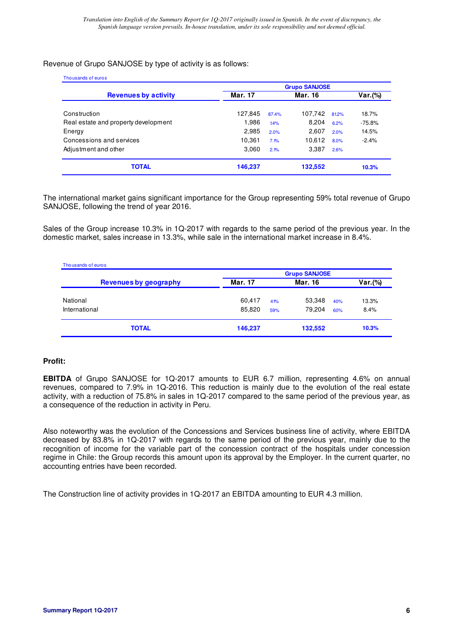#### Revenue of Grupo SANJOSE by type of activity is as follows:

| Thousands of euros                   | <b>Grupo SANJOSE</b> |       |         |       |          |  |
|--------------------------------------|----------------------|-------|---------|-------|----------|--|
| <b>Revenues by activity</b>          | Mar. 17              |       | Mar. 16 |       | Var.(%)  |  |
| Construction                         | 127,845              | 87.4% | 107,742 | 81.2% | 18.7%    |  |
| Real estate and property development | 1,986                | 1.4%  | 8,204   | 6.2%  | $-75.8%$ |  |
| Energy                               | 2,985                | 2.0%  | 2,607   | 2.0%  | 14.5%    |  |
| Concessions and services             | 10,361               | 7.1%  | 10,612  | 8.0%  | $-2.4%$  |  |
| Adjustment and other                 | 3,060                | 2.1%  | 3,387   | 2.6%  |          |  |
| <b>TOTAL</b>                         | 146,237              |       | 132,552 |       | 10.3%    |  |

The international market gains significant importance for the Group representing 59% total revenue of Grupo SANJOSE, following the trend of year 2016.

Sales of the Group increase 10.3% in 1Q-2017 with regards to the same period of the previous year. In the domestic market, sales increase in 13.3%, while sale in the international market increase in 8.4%.

| Thousands of euros<br><b>Revenues by geography</b> | <b>Grupo SANJOSE</b> |     |         |     |         |  |
|----------------------------------------------------|----------------------|-----|---------|-----|---------|--|
|                                                    | Mar. 17              |     | Mar. 16 |     | Var.(%) |  |
| National                                           | 60,417               | 41% | 53,348  | 40% | 13.3%   |  |
| International                                      | 85.820               | 59% | 79.204  | 60% | 8.4%    |  |
| <b>TOTAL</b>                                       | 146,237              |     | 132,552 |     | 10.3%   |  |

#### **Profit:**

**EBITDA** of Grupo SANJOSE for 1Q-2017 amounts to EUR 6.7 million, representing 4.6% on annual revenues, compared to 7.9% in 1Q-2016. This reduction is mainly due to the evolution of the real estate activity, with a reduction of 75.8% in sales in 1Q-2017 compared to the same period of the previous year, as a consequence of the reduction in activity in Peru.

Also noteworthy was the evolution of the Concessions and Services business line of activity, where EBITDA decreased by 83.8% in 1Q-2017 with regards to the same period of the previous year, mainly due to the recognition of income for the variable part of the concession contract of the hospitals under concession regime in Chile: the Group records this amount upon its approval by the Employer. In the current quarter, no accounting entries have been recorded.

The Construction line of activity provides in 1Q-2017 an EBITDA amounting to EUR 4.3 million.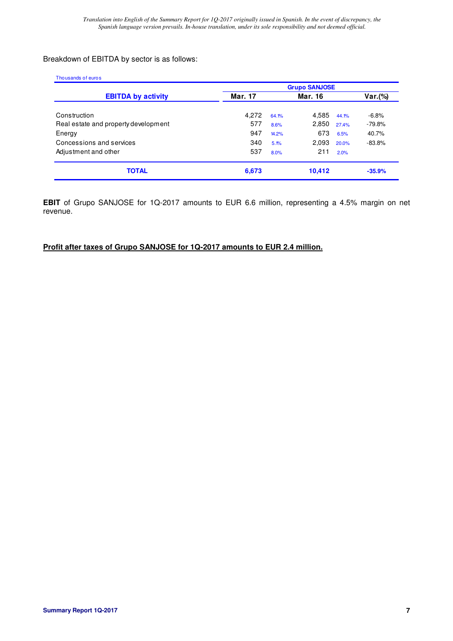### Breakdown of EBITDA by sector is as follows:

| Thousands of euros                   |         |                      |         |       |          |  |  |
|--------------------------------------|---------|----------------------|---------|-------|----------|--|--|
|                                      |         | <b>Grupo SANJOSE</b> |         |       |          |  |  |
| <b>EBITDA by activity</b>            | Mar. 17 |                      | Mar. 16 |       | Var.(%)  |  |  |
| Construction                         | 4.272   | 64.1%                | 4,585   | 44.1% | $-6.8%$  |  |  |
| Real estate and property development | 577     | 8.6%                 | 2,850   | 27.4% | $-79.8%$ |  |  |
| Energy                               | 947     | 14.2%                | 673     | 6.5%  | 40.7%    |  |  |
| Concessions and services             | 340     | 5.1%                 | 2,093   | 20.0% | $-83.8%$ |  |  |
| Adjustment and other                 | 537     | 8.0%                 | 211     | 2.0%  |          |  |  |
| <b>TOTAL</b>                         | 6,673   |                      | 10,412  |       | $-35.9%$ |  |  |

**EBIT** of Grupo SANJOSE for 1Q-2017 amounts to EUR 6.6 million, representing a 4.5% margin on net revenue.

### **Profit after taxes of Grupo SANJOSE for 1Q-2017 amounts to EUR 2.4 million.**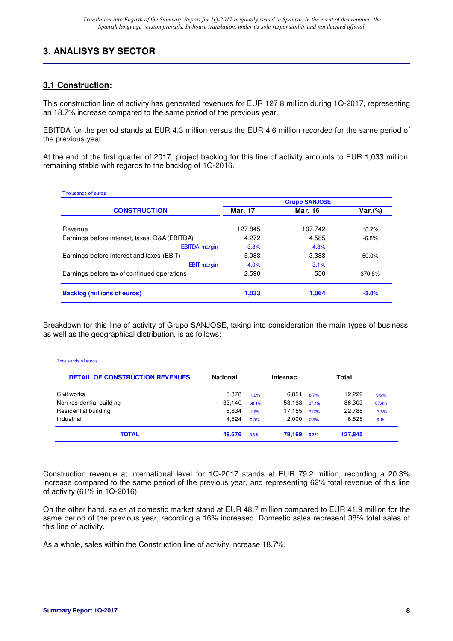## **3. ANALISYS BY SECTOR**

## **3.1 Construction:**

This construction line of activity has generated revenues for EUR 127.8 million during 1Q-2017, representing an 18.7% increase compared to the same period of the previous year.

EBITDA for the period stands at EUR 4.3 million versus the EUR 4.6 million recorded for the same period of the previous year.

At the end of the first quarter of 2017, project backlog for this line of activity amounts to EUR 1,033 million, remaining stable with regards to the backlog of 1Q-2016.

| Thousands of euros                            |                      |         |         |  |  |
|-----------------------------------------------|----------------------|---------|---------|--|--|
|                                               | <b>Grupo SANJOSE</b> |         |         |  |  |
| <b>CONSTRUCTION</b>                           | Mar. 17              | Mar. 16 | Var.(%) |  |  |
| Revenue                                       | 127,845              | 107.742 | 18.7%   |  |  |
| Earnings before interest, taxes, D&A (EBITDA) | 4,272                | 4,585   | $-6.8%$ |  |  |
| <b>EBITDA</b> margin                          | 3.3%                 | 4.3%    |         |  |  |
| Earnings before interest and taxes (EBIT)     | 5,083                | 3,388   | 50.0%   |  |  |
| <b>EBIT</b> margin                            | 4.0%                 | 3.1%    |         |  |  |
| Earnings before tax of continued operations   | 2.590                | 550     | 370.8%  |  |  |
| <b>Backlog (millions of euros)</b>            | 1,033                | 1.064   | $-3.0%$ |  |  |

Breakdown for this line of activity of Grupo SANJOSE, taking into consideration the main types of business, as well as the geographical distribution, is as follows:

| Thousands of euros                     |                 |       |           |       |         |       |
|----------------------------------------|-----------------|-------|-----------|-------|---------|-------|
| <b>DETAIL OF CONSTRUCTION REVENUES</b> | <b>National</b> |       | Internac. |       | Total   |       |
| Civil works                            | 5.378           | 11.0% | 6.851     | 8.7%  | 12.229  | 9.6%  |
| Non residential building               | 33,140          | 68.1% | 53,163    | 67.1% | 86,303  | 67.4% |
| Residential building                   | 5.634           | 11.6% | 17.155    | 21.7% | 22.788  | 17.8% |
| Industrial                             | 4.524           | 9.3%  | 2.000     | 2.5%  | 6.525   | 5.1%  |
| <b>TOTAL</b>                           | 48,676          | 38%   | 79,169    | 62%   | 127,845 |       |

Construction revenue at international level for 1Q-2017 stands at EUR 79.2 million, recording a 20.3% increase compared to the same period of the previous year, and representing 62% total revenue of this line of activity (61% in 1Q-2016).

On the other hand, sales at domestic market stand at EUR 48.7 million compared to EUR 41.9 million for the same period of the previous year, recording a 16% increased. Domestic sales represent 38% total sales of this line of activity.

As a whole, sales within the Construction line of activity increase 18.7%.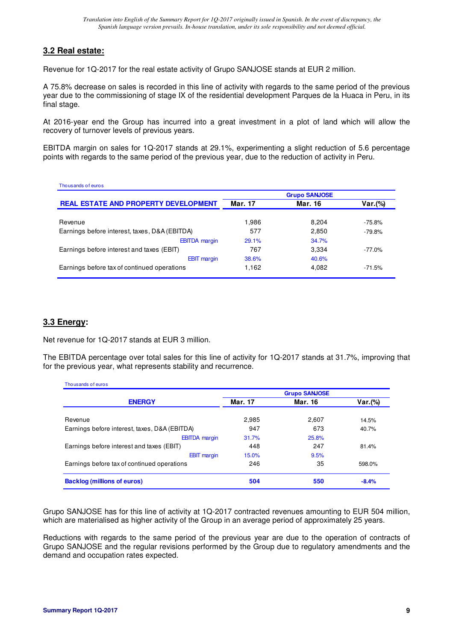### **3.2 Real estate:**

Revenue for 1Q-2017 for the real estate activity of Grupo SANJOSE stands at EUR 2 million.

A 75.8% decrease on sales is recorded in this line of activity with regards to the same period of the previous year due to the commissioning of stage IX of the residential development Parques de la Huaca in Peru, in its final stage.

At 2016-year end the Group has incurred into a great investment in a plot of land which will allow the recovery of turnover levels of previous years.

EBITDA margin on sales for 1Q-2017 stands at 29.1%, experimenting a slight reduction of 5.6 percentage points with regards to the same period of the previous year, due to the reduction of activity in Peru.

| Thousands of euros                            |                      |         |          |  |  |  |
|-----------------------------------------------|----------------------|---------|----------|--|--|--|
|                                               | <b>Grupo SANJOSE</b> |         |          |  |  |  |
| <b>REAL ESTATE AND PROPERTY DEVELOPMENT</b>   | Mar. 17              | Mar. 16 | Var.(%)  |  |  |  |
|                                               |                      |         |          |  |  |  |
| Revenue                                       | 1.986                | 8.204   | $-75.8%$ |  |  |  |
| Earnings before interest, taxes, D&A (EBITDA) | 577                  | 2,850   | $-79.8%$ |  |  |  |
| <b>EBITDA</b> margin                          | 29.1%                | 34.7%   |          |  |  |  |
| Earnings before interest and taxes (EBIT)     | 767                  | 3.334   | $-77.0%$ |  |  |  |
| <b>EBIT</b> margin                            | 38.6%                | 40.6%   |          |  |  |  |
| Earnings before tax of continued operations   | 1,162                | 4,082   | $-71.5%$ |  |  |  |

### **3.3 Energy:**

Net revenue for 1Q-2017 stands at EUR 3 million.

The EBITDA percentage over total sales for this line of activity for 1Q-2017 stands at 31.7%, improving that for the previous year, what represents stability and recurrence.

| Thousands of euros                            |         |         |         |  |
|-----------------------------------------------|---------|---------|---------|--|
| <b>ENERGY</b>                                 | Mar. 17 | Mar. 16 | Var.(%) |  |
| Revenue                                       | 2,985   | 2,607   | 14.5%   |  |
| Earnings before interest, taxes, D&A (EBITDA) | 947     | 673     | 40.7%   |  |
| <b>EBITDA</b> margin                          | 31.7%   | 25.8%   |         |  |
| Earnings before interest and taxes (EBIT)     | 448     | 247     | 81.4%   |  |
| <b>EBIT</b> margin                            | 15.0%   | 9.5%    |         |  |
| Earnings before tax of continued operations   | 246     | 35      | 598.0%  |  |
| <b>Backlog (millions of euros)</b>            | 504     | 550     | $-8.4%$ |  |

Grupo SANJOSE has for this line of activity at 1Q-2017 contracted revenues amounting to EUR 504 million, which are materialised as higher activity of the Group in an average period of approximately 25 years.

Reductions with regards to the same period of the previous year are due to the operation of contracts of Grupo SANJOSE and the regular revisions performed by the Group due to regulatory amendments and the demand and occupation rates expected.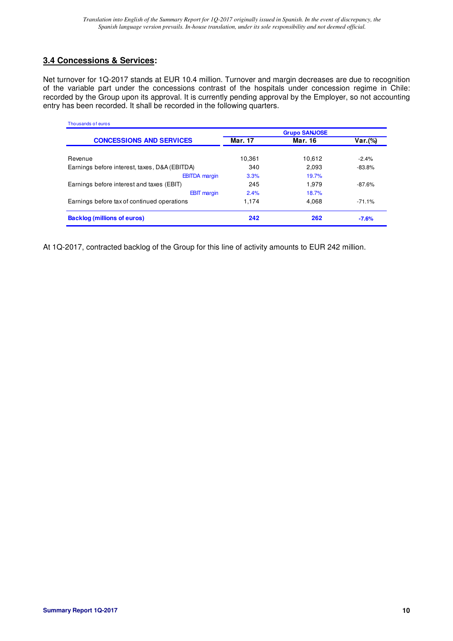## **3.4 Concessions & Services:**

Net turnover for 1Q-2017 stands at EUR 10.4 million. Turnover and margin decreases are due to recognition of the variable part under the concessions contrast of the hospitals under concession regime in Chile: recorded by the Group upon its approval. It is currently pending approval by the Employer, so not accounting entry has been recorded. It shall be recorded in the following quarters.

| Thousands of euros                            |                      |         |          |  |  |
|-----------------------------------------------|----------------------|---------|----------|--|--|
|                                               | <b>Grupo SANJOSE</b> |         |          |  |  |
| <b>CONCESSIONS AND SERVICES</b>               | Mar. 17              | Mar. 16 | Var.(%)  |  |  |
| Revenue                                       | 10.361               | 10,612  | $-2.4%$  |  |  |
| Earnings before interest, taxes, D&A (EBITDA) | 340                  | 2,093   | $-83.8%$ |  |  |
| <b>EBITDA</b> margin                          | 3.3%                 | 19.7%   |          |  |  |
| Earnings before interest and taxes (EBIT)     | 245                  | 1.979   | $-87.6%$ |  |  |
| <b>EBIT</b> margin                            | 2.4%                 | 18.7%   |          |  |  |
| Earnings before tax of continued operations   | 1.174                | 4,068   | $-71.1%$ |  |  |
| <b>Backlog (millions of euros)</b>            | 242                  | 262     | $-7.6%$  |  |  |

At 1Q-2017, contracted backlog of the Group for this line of activity amounts to EUR 242 million.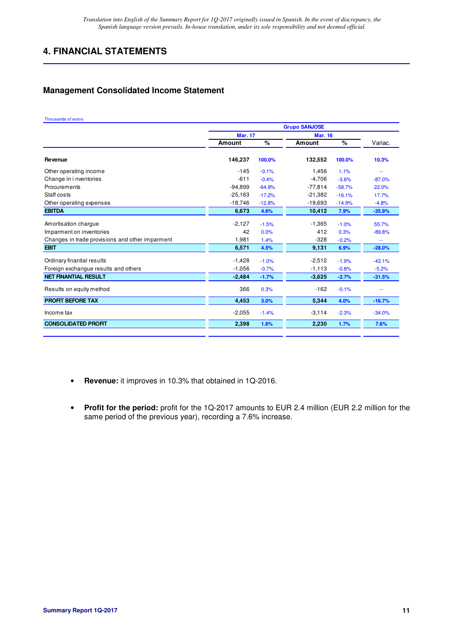## **4. FINANCIAL STATEMENTS**

## **Management Consolidated Income Statement**

#### Thousands of euros

|                                                 | <b>Grupo SANJOSE</b> |          |                |          |          |
|-------------------------------------------------|----------------------|----------|----------------|----------|----------|
|                                                 | <b>Mar. 17</b>       |          | <b>Mar. 16</b> |          |          |
|                                                 | <b>Amount</b>        | %        | <b>Amount</b>  | $\%$     | Variac.  |
| Revenue                                         | 146,237              | 100.0%   | 132,552        | 100.0%   | 10.3%    |
| Other operating income                          | $-145$               | $-0.1%$  | 1,456          | 1.1%     | ÷÷       |
| Change in i nventories                          | $-611$               | $-0.4%$  | $-4,706$       | $-3.6%$  | $-87.0%$ |
| Procurements                                    | $-94,899$            | $-64.9%$ | $-77,814$      | $-58.7%$ | 22.0%    |
| Staff costs                                     | $-25,163$            | $-17.2%$ | $-21,382$      | $-16.1%$ | 17.7%    |
| Other operating expenses                        | $-18,746$            | $-12.8%$ | $-19,693$      | $-14.9%$ | $-4.8%$  |
| <b>EBITDA</b>                                   | 6,673                | 4.6%     | 10,412         | 7.9%     | $-35.9%$ |
| Amortisation charque                            | $-2,127$             | $-1.5%$  | $-1,365$       | $-1.0%$  | 55.7%    |
| Imparment on inventories                        | 42                   | 0.0%     | 412            | 0.3%     | $-89.8%$ |
| Changes in trade provisions and other imparment | 1,981                | 1.4%     | $-328$         | $-0.2%$  | ÷÷       |
| <b>EBIT</b>                                     | 6,571                | 4.5%     | 9,131          | 6.9%     | $-28.0%$ |
| Ordinary finantial results                      | $-1,428$             | $-1.0%$  | $-2,512$       | $-1.9%$  | $-43.1%$ |
| Foreign exchangue results and others            | $-1,056$             | $-0.7%$  | $-1,113$       | $-0.8%$  | $-5.2%$  |
| <b>NET FINANTIAL RESULT</b>                     | $-2,484$             | $-1.7%$  | $-3,625$       | $-2.7%$  | $-31.5%$ |
| Results on equity method                        | 366                  | 0.3%     | $-162$         | $-0.1%$  | ۰.       |
| <b>PROFIT BEFORE TAX</b>                        | 4,453                | 3.0%     | 5,344          | 4.0%     | $-16.7%$ |
| Income tax                                      | $-2,055$             | $-1.4%$  | $-3,114$       | $-2.3%$  | $-34.0%$ |
| <b>CONSOLIDATED PROFIT</b>                      | 2,398                | 1.6%     | 2,230          | 1.7%     | 7.6%     |
|                                                 |                      |          |                |          |          |

- **Revenue:** it improves in 10.3% that obtained in 1Q-2016.
- **Profit for the period:** profit for the 1Q-2017 amounts to EUR 2.4 million (EUR 2.2 million for the same period of the previous year), recording a 7.6% increase.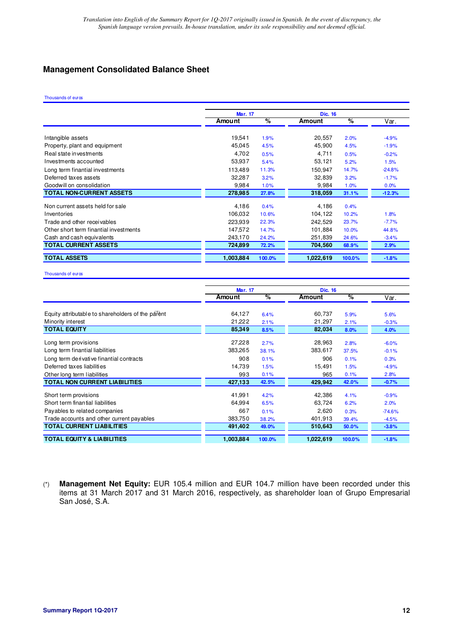## **Management Consolidated Balance Sheet**

#### Thousands of euros

|                                        | <b>Mar. 17</b> |        | <b>Dic. 16</b> |        |          |  |
|----------------------------------------|----------------|--------|----------------|--------|----------|--|
|                                        | Amount         | $\%$   | Amount         | $\%$   | Var.     |  |
| Intangible assets                      | 19,541         | 1.9%   | 20,557         | 2.0%   | $-4.9%$  |  |
| Property, plant and equipment          | 45,045         | 4.5%   | 45,900         | 4.5%   | $-1.9%$  |  |
| Real state investments                 | 4.702          | 0.5%   | 4,711          | 0.5%   | $-0.2%$  |  |
| Investments accounted                  | 53,937         | 5.4%   | 53,121         | 5.2%   | 1.5%     |  |
| Long term finantial investments        | 113.489        | 11.3%  | 150,947        | 14.7%  | $-24.8%$ |  |
| Deferred taxes assets                  | 32.287         | 3.2%   | 32,839         | 3.2%   | $-1.7%$  |  |
| Goodwill on consolidation              | 9,984          | 1.0%   | 9,984          | 1.0%   | 0.0%     |  |
| <b>TOTAL NON-CURRENT ASSETS</b>        | 278,985        | 27.8%  | 318,059        | 31.1%  | $-12.3%$ |  |
| Non current assets held for sale       | 4.186          | 0.4%   | 4,186          | 0.4%   |          |  |
| Inventories                            | 106,032        | 10.6%  | 104,122        | 10.2%  | 1.8%     |  |
| Trade and other receivables            | 223,939        | 22.3%  | 242,529        | 23.7%  | $-7.7%$  |  |
| Other short term finantial investments | 147,572        | 14.7%  | 101,884        | 10.0%  | 44.8%    |  |
| Cash and cash equivalents              | 243,170        | 24.2%  | 251,839        | 24.6%  | $-3.4%$  |  |
| <b>TOTAL CURRENT ASSETS</b>            | 724,899        | 72.2%  | 704,560        | 68.9%  | 2.9%     |  |
| <b>TOTAL ASSETS</b>                    | 1,003,884      | 100.0% | 1.022.619      | 100.0% | $-1.8%$  |  |

Thousands of euros

|                                                   | <b>Mar. 17</b> |        | <b>Dic. 16</b> |        |          |
|---------------------------------------------------|----------------|--------|----------------|--------|----------|
|                                                   | Amount         | %      | Amount         | %      | Var.     |
| Equity attributable to shareholders of the parent | 64,127         | 6.4%   | 60,737         | 5.9%   | 5.6%     |
| Minority interest                                 | 21,222         | 2.1%   | 21,297         | 2.1%   | $-0.3%$  |
| <b>TOTAL EQUITY</b>                               | 85,349         | 8.5%   | 82,034         | 8.0%   | 4.0%     |
| Long term provisions                              | 27,228         | 2.7%   | 28,963         | 2.8%   | $-6.0%$  |
| Long term finantial liabilities                   | 383.265        | 38.1%  | 383,617        | 37.5%  | $-0.1%$  |
| Long term de rivative finantial contracts         | 908            | 0.1%   | 906            | 0.1%   | 0.3%     |
| Deferred taxes liabilities                        | 14.739         | 1.5%   | 15,491         | 1.5%   | $-4.9%$  |
| Other long term liabilities                       | 993            | 0.1%   | 965            | 0.1%   | 2.8%     |
| <b>TOTAL NON CURRENT LIABILITIES</b>              | 427,133        | 42.5%  | 429,942        | 42.0%  | $-0.7%$  |
| Short term provisions                             | 41,991         | 4.2%   | 42,386         | 4.1%   | $-0.9%$  |
| Short term finantial liabilities                  | 64.994         | 6.5%   | 63,724         | 6.2%   | 2.0%     |
| Payables to related companies                     | 667            | 0.1%   | 2,620          | 0.3%   | $-74.6%$ |
| Trade accounts and other current payables         | 383,750        | 38.2%  | 401,913        | 39.4%  | $-4.5%$  |
| <b>TOTAL CURRENT LIABILITIES</b>                  | 491,402        | 49.0%  | 510,643        | 50.0%  | $-3.8%$  |
| <b>TOTAL EQUITY &amp; LIABILITIES</b>             | 1.003.884      | 100.0% | 1,022,619      | 100.0% | $-1.8%$  |

<sup>(\*)</sup> **Management Net Equity:** EUR 105.4 million and EUR 104.7 million have been recorded under this items at 31 March 2017 and 31 March 2016, respectively, as shareholder loan of Grupo Empresarial San José, S.A.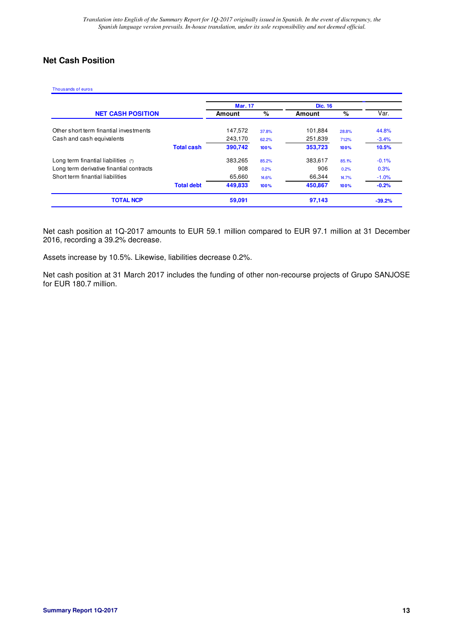## **Net Cash Position**

Thousands of euros

|                                          |                   | <b>Mar. 17</b> |       | <b>Dic. 16</b> |       |          |
|------------------------------------------|-------------------|----------------|-------|----------------|-------|----------|
| <b>NET CASH POSITION</b>                 |                   | Amount         | %     | Amount         | %     | Var.     |
| Other short term finantial investments   |                   | 147,572        | 37.8% | 101,884        | 28.8% | 44.8%    |
| Cash and cash equivalents                |                   | 243,170        | 62.2% | 251,839        | 71.2% | $-3.4%$  |
|                                          | <b>Total cash</b> | 390.742        | 100%  | 353,723        | 100%  | 10.5%    |
| Long term finantial liabilities $(1)$    |                   | 383.265        | 85.2% | 383,617        | 85.1% | $-0.1%$  |
| Long term derivative finantial contracts |                   | 908            | 0.2%  | 906            | 0.2%  | 0.3%     |
| Short term finantial liabilities         |                   | 65,660         | 14.6% | 66,344         | 14.7% | $-1.0%$  |
|                                          | <b>Total debt</b> | 449.833        | 100%  | 450.867        | 100%  | $-0.2%$  |
| <b>TOTAL NCP</b>                         |                   | 59,091         |       | 97,143         |       | $-39.2%$ |

Net cash position at 1Q-2017 amounts to EUR 59.1 million compared to EUR 97.1 million at 31 December 2016, recording a 39.2% decrease.

Assets increase by 10.5%. Likewise, liabilities decrease 0.2%.

Net cash position at 31 March 2017 includes the funding of other non-recourse projects of Grupo SANJOSE for EUR 180.7 million.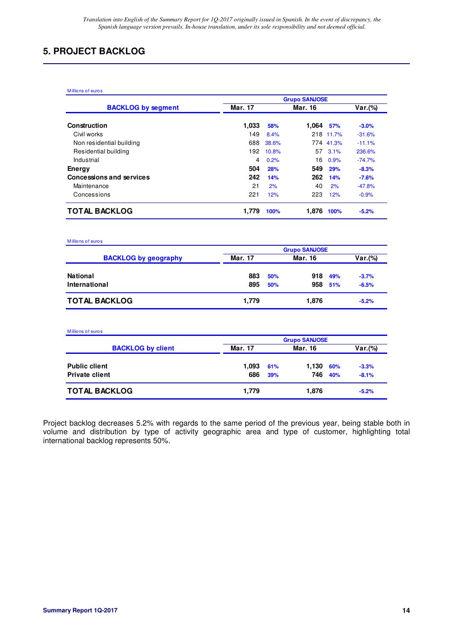## **5. PROJECT BACKLOG**

| Millions of euros               | <b>Grupo SANJOSE</b> |         |       |           |          |
|---------------------------------|----------------------|---------|-------|-----------|----------|
| <b>BACKLOG by segment</b>       | Mar. 17              | Mar. 16 |       |           | Var.(%)  |
| Construction                    | 1,033                | 58%     | 1.064 | 57%       | $-3.0%$  |
| Civil works                     | 149                  | 8.4%    |       | 218 11.7% | $-31.6%$ |
| Non residential building        | 688                  | 38.6%   |       | 774 41.3% | $-11.1%$ |
| Residential building            | 192                  | 10.8%   | 57    | 3.1%      | 236.6%   |
| Industrial                      | 4                    | 0.2%    | 16    | 0.9%      | $-74.7%$ |
| Energy                          | 504                  | 28%     | 549   | 29%       | $-8.3%$  |
| <b>Concessions and services</b> | 242                  | 14%     | 262   | 14%       | $-7.6%$  |
| Maintenance                     | 21                   | 2%      | 40    | 2%        | $-47.8%$ |
| Concessions                     | 221                  | 12%     | 223   | 12%       | $-0.9%$  |
| TOTAL BACKLOG                   | 1.779                | 100%    | 1.876 | 100%      | $-5.2%$  |

| Millions of euros           |                      |     |         |     |         |  |
|-----------------------------|----------------------|-----|---------|-----|---------|--|
|                             | <b>Grupo SANJOSE</b> |     |         |     |         |  |
| <b>BACKLOG by geography</b> | <b>Mar. 17</b>       |     | Mar. 16 |     | Var.(%) |  |
| <b>National</b>             | 883                  | 50% | 918     | 49% | $-3.7%$ |  |
| International               | 895                  | 50% | 958     | 51% | $-6.5%$ |  |
| <b>TOTAL BACKLOG</b>        | 1,779                |     | 1,876   |     | $-5.2%$ |  |

| Millions of euros        |                      |     |                |     |         |  |
|--------------------------|----------------------|-----|----------------|-----|---------|--|
|                          | <b>Grupo SANJOSE</b> |     |                |     |         |  |
| <b>BACKLOG by client</b> | <b>Mar. 17</b>       |     | <b>Mar. 16</b> |     | Var.(%) |  |
| <b>Public client</b>     | 1.093                | 61% | 1,130          | 60% | $-3.3%$ |  |
| <b>Private client</b>    | 686                  | 39% | 746            | 40% | $-8.1%$ |  |
| <b>TOTAL BACKLOG</b>     | 1,779                |     | 1,876          |     | $-5.2%$ |  |

Project backlog decreases 5.2% with regards to the same period of the previous year, being stable both in volume and distribution by type of activity geographic area and type of customer, highlighting total international backlog represents 50%.